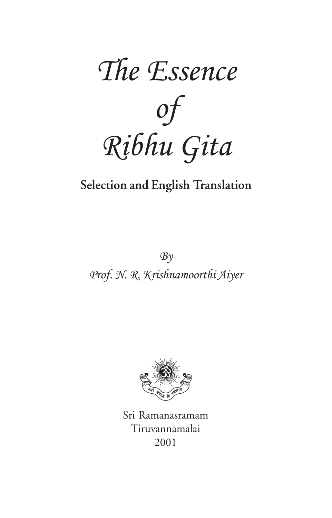

# **Selection and English Translation**

*By Prof. N. R. Krishnamoorthi Aiyer*



Sri Ramanasramam Tiruvannamalai 2001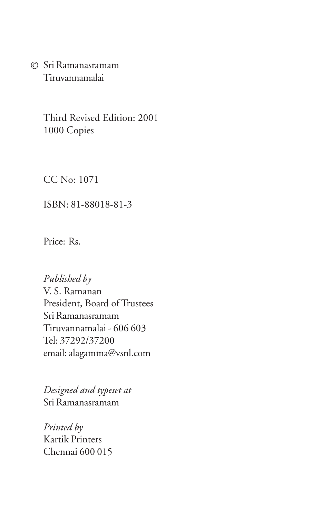© Sri Ramanasramam Tiruvannamalai

> Third Revised Edition: 2001 1000 Copies

CC No: 1071

ISBN: 81-88018-81-3

Price: Rs.

*Published by* V. S. Ramanan President, Board of Trustees Sri Ramanasramam Tiruvannamalai - 606 603 Tel: 37292/37200 email: alagamma@vsnl.com

*Designed and typeset at* Sri Ramanasramam

*Printed by* Kartik Printers Chennai 600 015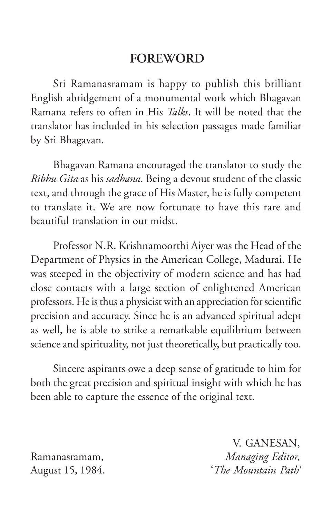#### **FOREWORD**

Sri Ramanasramam is happy to publish this brilliant English abridgement of a monumental work which Bhagavan Ramana refers to often in His *Talks*. It will be noted that the translator has included in his selection passages made familiar by Sri Bhagavan.

Bhagavan Ramana encouraged the translator to study the *Ribhu Gita* as his *sadhana*. Being a devout student of the classic text, and through the grace of His Master, he is fully competent to translate it. We are now fortunate to have this rare and beautiful translation in our midst.

Professor N.R. Krishnamoorthi Aiyer was the Head of the Department of Physics in the American College, Madurai. He was steeped in the objectivity of modern science and has had close contacts with a large section of enlightened American professors. He is thus a physicist with an appreciation for scientific precision and accuracy. Since he is an advanced spiritual adept as well, he is able to strike a remarkable equilibrium between science and spirituality, not just theoretically, but practically too.

Sincere aspirants owe a deep sense of gratitude to him for both the great precision and spiritual insight with which he has been able to capture the essence of the original text.

> V. GANESAN, *Managing Editor,* '*The Mountain Path'*

Ramanasramam, August 15, 1984.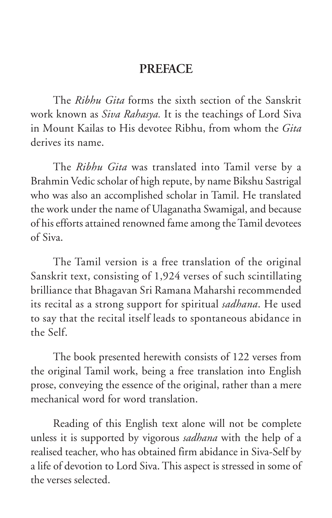#### **PREFACE**

The *Ribhu Gita* forms the sixth section of the Sanskrit work known as *Siva Rahasya.* It is the teachings of Lord Siva in Mount Kailas to His devotee Ribhu, from whom the *Gita* derives its name.

The *Ribhu Gita* was translated into Tamil verse by a Brahmin Vedic scholar of high repute, by name Bikshu Sastrigal who was also an accomplished scholar in Tamil. He translated the work under the name of Ulaganatha Swamigal, and because of his efforts attained renowned fame among the Tamil devotees of Siva.

The Tamil version is a free translation of the original Sanskrit text, consisting of 1,924 verses of such scintillating brilliance that Bhagavan Sri Ramana Maharshi recommended its recital as a strong support for spiritual *sadhana*. He used to say that the recital itself leads to spontaneous abidance in the Self.

The book presented herewith consists of 122 verses from the original Tamil work, being a free translation into English prose, conveying the essence of the original, rather than a mere mechanical word for word translation.

Reading of this English text alone will not be complete unless it is supported by vigorous *sadhana* with the help of a realised teacher, who has obtained firm abidance in Siva-Self by a life of devotion to Lord Siva. This aspect is stressed in some of the verses selected.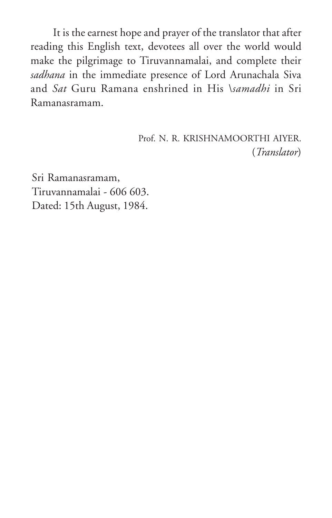It is the earnest hope and prayer of the translator that after reading this English text, devotees all over the world would make the pilgrimage to Tiruvannamalai, and complete their *sadhana* in the immediate presence of Lord Arunachala Siva and *Sat* Guru Ramana enshrined in His *\samadhi* in Sri Ramanasramam.

> Prof. N. R. KRISHNAMOORTHI AIYER. (*Translator*)

Sri Ramanasramam, Tiruvannamalai - 606 603. Dated: 15th August, 1984.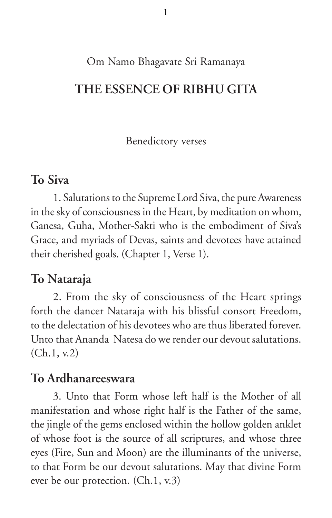#### Om Namo Bhagavate Sri Ramanaya

## **THE ESSENCE OF RIBHU GITA**

Benedictory verses

#### **To Siva**

1. Salutations to the Supreme Lord Siva, the pure Awareness in the sky of consciousness in the Heart, by meditation on whom, Ganesa, Guha, Mother-Sakti who is the embodiment of Siva's Grace, and myriads of Devas, saints and devotees have attained their cherished goals. (Chapter 1, Verse 1).

### **To Nataraja**

2. From the sky of consciousness of the Heart springs forth the dancer Nataraja with his blissful consort Freedom, to the delectation of his devotees who are thus liberated forever. Unto that Ananda Natesa do we render our devout salutations. (Ch.1, v.2)

### **To Ardhanareeswara**

3. Unto that Form whose left half is the Mother of all manifestation and whose right half is the Father of the same, the jingle of the gems enclosed within the hollow golden anklet of whose foot is the source of all scriptures, and whose three eyes (Fire, Sun and Moon) are the illuminants of the universe, to that Form be our devout salutations. May that divine Form ever be our protection. (Ch.1, v.3)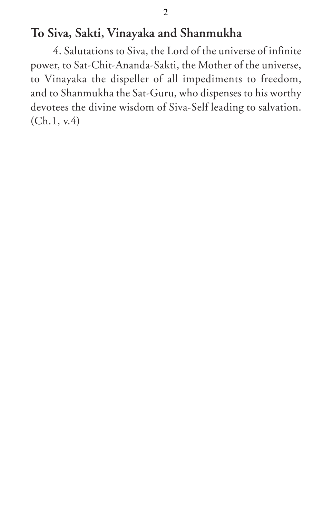### **To Siva, Sakti, Vinayaka and Shanmukha**

4. Salutations to Siva, the Lord of the universe of infinite power, to Sat-Chit-Ananda-Sakti, the Mother of the universe, to Vinayaka the dispeller of all impediments to freedom, and to Shanmukha the Sat-Guru, who dispenses to his worthy devotees the divine wisdom of Siva-Self leading to salvation.  $(Ch.1, v.4)$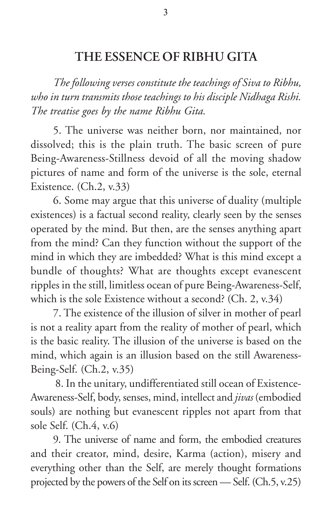### **THE ESSENCE OF RIBHU GITA**

*The following verses constitute the teachings of Siva to Ribhu, who in turn transmits those teachings to his disciple Nidhaga Rishi. The treatise goes by the name Ribhu Gita.*

5. The universe was neither born, nor maintained, nor dissolved; this is the plain truth. The basic screen of pure Being-Awareness-Stillness devoid of all the moving shadow pictures of name and form of the universe is the sole, eternal Existence. (Ch.2, v.33)

6. Some may argue that this universe of duality (multiple existences) is a factual second reality, clearly seen by the senses operated by the mind. But then, are the senses anything apart from the mind? Can they function without the support of the mind in which they are imbedded? What is this mind except a bundle of thoughts? What are thoughts except evanescent ripples in the still, limitless ocean of pure Being-Awareness-Self, which is the sole Existence without a second? (Ch. 2, v.34)

7. The existence of the illusion of silver in mother of pearl is not a reality apart from the reality of mother of pearl, which is the basic reality. The illusion of the universe is based on the mind, which again is an illusion based on the still Awareness-Being-Self. (Ch.2, v.35)

 8. In the unitary, undifferentiated still ocean of Existence-Awareness-Self, body, senses, mind, intellect and *jivas* (embodied souls) are nothing but evanescent ripples not apart from that sole Self. (Ch.4, v.6)

9. The universe of name and form, the embodied creatures and their creator, mind, desire, Karma (action), misery and everything other than the Self, are merely thought formations projected by the powers of the Self on its screen — Self. (Ch.5, v.25)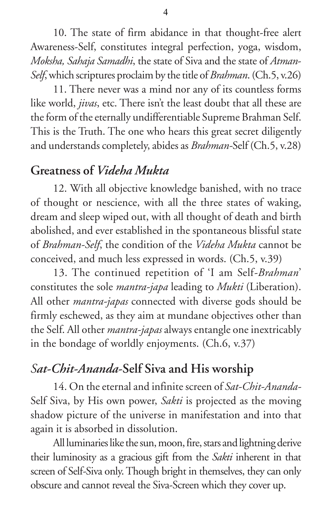10. The state of firm abidance in that thought-free alert Awareness-Self, constitutes integral perfection, yoga, wisdom, *Moksha, Sahaja Samadhi*, the state of Siva and the state of *Atman*-*Self*, which scriptures proclaim by the title of *Brahman*. (Ch.5, v.26)

11. There never was a mind nor any of its countless forms like world, *jivas*, etc. There isn't the least doubt that all these are the form of the eternally undifferentiable Supreme Brahman Self. This is the Truth. The one who hears this great secret diligently and understands completely, abides as *Brahman-*Self (Ch.5, v.28)

# **Greatness of** *Videha Mukta*

12. With all objective knowledge banished, with no trace of thought or nescience, with all the three states of waking, dream and sleep wiped out, with all thought of death and birth abolished, and ever established in the spontaneous blissful state of *Brahman-Self*, the condition of the *Videha Mukta* cannot be conceived, and much less expressed in words. (Ch.5, v.39)

13. The continued repetition of 'I am Self*-Brahman*' constitutes the sole *mantra-japa* leading to *Mukti* (Liberation). All other *mantra-japas* connected with diverse gods should be firmly eschewed, as they aim at mundane objectives other than the Self. All other *mantra-japas* always entangle one inextricably in the bondage of worldly enjoyments. (Ch.6, v.37)

### *Sat-Chit-Ananda***-Self Siva and His worship**

14. On the eternal and infinite screen of *Sat-Chit-Ananda-*Self Siva, by His own power, *Sakti* is projected as the moving shadow picture of the universe in manifestation and into that again it is absorbed in dissolution.

All luminaries like the sun, moon, fire, stars and lightning derive their luminosity as a gracious gift from the *Sakti* inherent in that screen of Self*-*Siva only. Though bright in themselves, they can only obscure and cannot reveal the Siva-Screen which they cover up.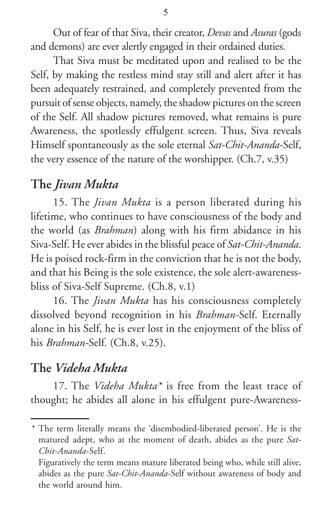Out of fear of that Siva, their creator, *Devas* and *Asuras* (gods and demons) are ever alertly engaged in their ordained duties.

That Siva must be meditated upon and realised to be the Self, by making the restless mind stay still and alert after it has been adequately restrained, and completely prevented from the pursuit of sense objects, namely, the shadow pictures on the screen of the Self. All shadow pictures removed, what remains is pure Awareness, the spotlessly effulgent screen. Thus, Siva reveals Himself spontaneously as the sole eternal *Sat-Chit-Ananda-*Self, the very essence of the nature of the worshipper. (Ch.7, v.35)

#### **The** *Jivan Mukta*

15. The *Jivan Mukta* is a person liberated during his lifetime, who continues to have consciousness of the body and the world (as *Brahman*) along with his firm abidance in his Siva-Self. He ever abides in the blissful peace of *Sat-Chit-Ananda*. He is poised rock-firm in the conviction that he is not the body, and that his Being is the sole existence, the sole alert-awarenessbliss of Siva-Self Supreme. (Ch.8, v.1)

16. The *Jivan Mukta* has his consciousness completely dissolved beyond recognition in his *Brahman-*Self. Eternally alone in his Self, he is ever lost in the enjoyment of the bliss of his *Brahman-*Self. (Ch.8, v.25).

#### **The** *Videha Mukta*

17. The *Videha Mukta\** is free from the least trace of thought; he abides all alone in his effulgent pure-Awareness-

*<sup>\*</sup>* The term literally means the 'disembodied-liberated person'. He is the matured adept, who at the moment of death, abides as the pure *Sat-Chit-Ananda*-Self.

Figuratively the term means mature liberated being who, while still alive, abides as the pure *Sat-Chit-Ananda*-Self without awareness of body and the world around him.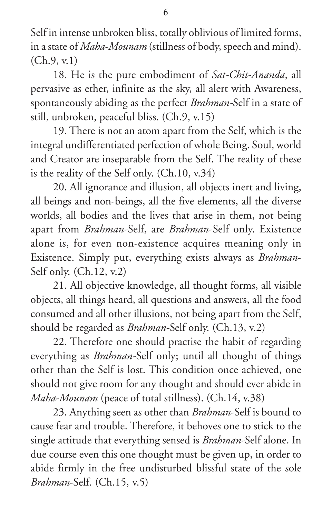Self in intense unbroken bliss, totally oblivious of limited forms, in a state of *Maha-Mounam* (stillness of body, speech and mind). (Ch.9, v.1)

18. He is the pure embodiment of *Sat-Chit-Ananda*, all pervasive as ether, infinite as the sky, all alert with Awareness, spontaneously abiding as the perfect *Brahman-*Self in a state of still, unbroken, peaceful bliss. (Ch.9, v.15)

19. There is not an atom apart from the Self, which is the integral undifferentiated perfection of whole Being. Soul, world and Creator are inseparable from the Self. The reality of these is the reality of the Self only. (Ch.10, v.34)

20. All ignorance and illusion, all objects inert and living, all beings and non-beings, all the five elements, all the diverse worlds, all bodies and the lives that arise in them, not being apart from *Brahman-*Self, are *Brahman-*Self only. Existence alone is, for even non-existence acquires meaning only in Existence. Simply put, everything exists always as *Brahman-*Self only. (Ch.12, v.2)

21. All objective knowledge, all thought forms, all visible objects, all things heard, all questions and answers, all the food consumed and all other illusions, not being apart from the Self, should be regarded as *Brahman-*Self only. (Ch.13, v.2)

22. Therefore one should practise the habit of regarding everything as *Brahman-*Self only; until all thought of things other than the Self is lost. This condition once achieved, one should not give room for any thought and should ever abide in *Maha-Mounam* (peace of total stillness). (Ch.14, v.38)

23. Anything seen as other than *Brahman-*Self is bound to cause fear and trouble. Therefore, it behoves one to stick to the single attitude that everything sensed is *Brahman-*Self alone. In due course even this one thought must be given up, in order to abide firmly in the free undisturbed blissful state of the sole *Brahman-*Self. (Ch.15, v.5)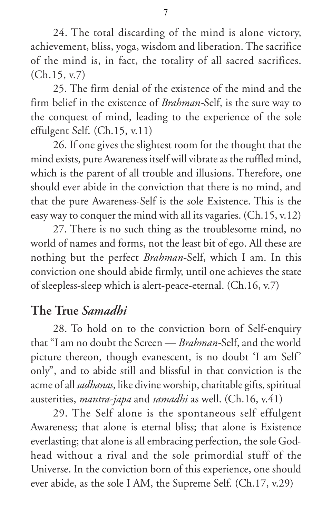24. The total discarding of the mind is alone victory, achievement, bliss, yoga, wisdom and liberation. The sacrifice of the mind is, in fact, the totality of all sacred sacrifices. (Ch.15, v.7)

25. The firm denial of the existence of the mind and the firm belief in the existence of *Brahman-*Self, is the sure way to the conquest of mind, leading to the experience of the sole effulgent Self. (Ch.15, v.11)

26. If one gives the slightest room for the thought that the mind exists, pure Awareness itself will vibrate as the ruffled mind, which is the parent of all trouble and illusions. Therefore, one should ever abide in the conviction that there is no mind, and that the pure Awareness-Self is the sole Existence. This is the easy way to conquer the mind with all its vagaries. (Ch.15, v.12)

27. There is no such thing as the troublesome mind, no world of names and forms, not the least bit of ego. All these are nothing but the perfect *Brahman-*Self, which I am. In this conviction one should abide firmly, until one achieves the state of sleepless-sleep which is alert-peace-eternal. (Ch.16, v.7)

### **The True** *Samadhi*

28. To hold on to the conviction born of Self-enquiry that "I am no doubt the Screen — *Brahman-*Self, and the world picture thereon, though evanescent, is no doubt 'I am Self' only", and to abide still and blissful in that conviction is the acme of all *sadhanas*, like divine worship, charitable gifts, spiritual austerities, *mantra-japa* and *samadhi* as well. (Ch.16, v.41)

29. The Self alone is the spontaneous self effulgent Awareness; that alone is eternal bliss; that alone is Existence everlasting; that alone is all embracing perfection, the sole Godhead without a rival and the sole primordial stuff of the Universe. In the conviction born of this experience, one should ever abide, as the sole I AM, the Supreme Self. (Ch.17, v.29)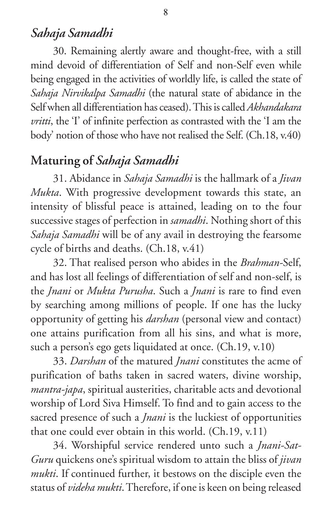### *Sahaja Samadhi*

30. Remaining alertly aware and thought-free, with a still mind devoid of differentiation of Self and non-Self even while being engaged in the activities of worldly life, is called the state of *Sahaja Nirvikalpa Samadhi* (the natural state of abidance in the Self when all differentiation has ceased). This is called *Akhandakara vritti*, the 'I' of infinite perfection as contrasted with the 'I am the body' notion of those who have not realised the Self. (Ch.18, v.40)

### **Maturing of** *Sahaja Samadhi*

31. Abidance in *Sahaja Samadhi* is the hallmark of a *Jivan Mukta*. With progressive development towards this state, an intensity of blissful peace is attained, leading on to the four successive stages of perfection in *samadhi*. Nothing short of this *Sahaja Samadhi* will be of any avail in destroying the fearsome cycle of births and deaths. (Ch.18, v.41)

32. That realised person who abides in the *Brahman-*Self, and has lost all feelings of differentiation of self and non-self, is the *Jnani* or *Mukta Purusha*. Such a *Jnani* is rare to find even by searching among millions of people. If one has the lucky opportunity of getting his *darshan* (personal view and contact) one attains purification from all his sins, and what is more, such a person's ego gets liquidated at once. (Ch.19, v.10)

33. *Darshan* of the matured *Jnani* constitutes the acme of purification of baths taken in sacred waters, divine worship, *mantra-japa*, spiritual austerities, charitable acts and devotional worship of Lord Siva Himself. To find and to gain access to the sacred presence of such a *Jnani* is the luckiest of opportunities that one could ever obtain in this world. (Ch.19, v.11)

34. Worshipful service rendered unto such a *Jnani-Sat-Guru* quickens one's spiritual wisdom to attain the bliss of *jivan mukti*. If continued further, it bestows on the disciple even the status of *videha mukti*. Therefore, if one is keen on being released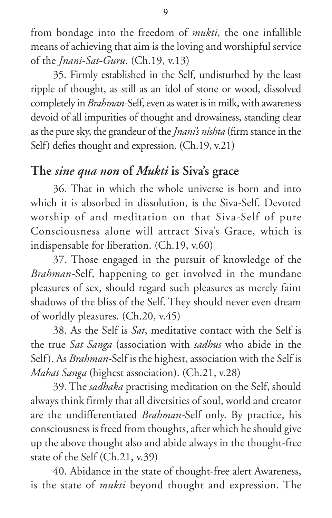from bondage into the freedom of *mukti*, the one infallible means of achieving that aim is the loving and worshipful service of the *Jnani-Sat-Guru*. (Ch.19, v.13)

35. Firmly established in the Self, undisturbed by the least ripple of thought, as still as an idol of stone or wood, dissolved completely in *Brahman-*Self, even as water is in milk, with awareness devoid of all impurities of thought and drowsiness, standing clear as the pure sky, the grandeur of the *Jnani's nishta* (firm stance in the Self) defies thought and expression. (Ch.19, v.21)

# **The** *sine qua non* **of** *Mukti* **is Siva's grace**

36. That in which the whole universe is born and into which it is absorbed in dissolution, is the Siva*-*Self. Devoted worship of and meditation on that Siva*-*Self of pure Consciousness alone will attract Siva's Grace, which is indispensable for liberation. (Ch.19, v.60)

37. Those engaged in the pursuit of knowledge of the *Brahman-*Self, happening to get involved in the mundane pleasures of sex, should regard such pleasures as merely faint shadows of the bliss of the Self. They should never even dream of worldly pleasures. (Ch.20, v.45)

38. As the Self is *Sat*, meditative contact with the Self is the true *Sat Sanga* (association with *sadhus* who abide in the Self). As *Brahman-*Self is the highest, association with the Self is *Mahat Sanga* (highest association). (Ch.21, v.28)

39. The *sadhaka* practising meditation on the Self, should always think firmly that all diversities of soul, world and creator are the undifferentiated *Brahman-*Self only. By practice, his consciousness is freed from thoughts, after which he should give up the above thought also and abide always in the thought-free state of the Self (Ch.21, v.39)

40. Abidance in the state of thought-free alert Awareness, is the state of *mukti* beyond thought and expression. The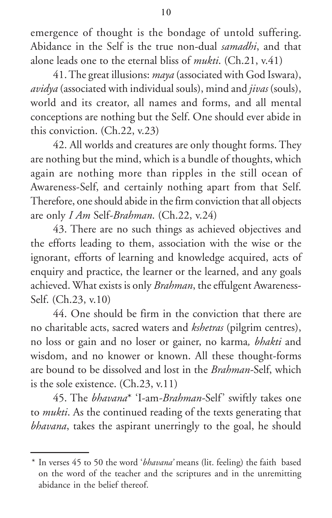emergence of thought is the bondage of untold suffering. Abidance in the Self is the true non-dual *samadhi*, and that alone leads one to the eternal bliss of *mukti*. (Ch.21, v.41)

41. The great illusions: *maya* (associated with God Iswara), *avidya* (associated with individual souls), mind and *jivas* (souls), world and its creator, all names and forms, and all mental conceptions are nothing but the Self. One should ever abide in this conviction. (Ch.22, v.23)

42. All worlds and creatures are only thought forms. They are nothing but the mind, which is a bundle of thoughts, which again are nothing more than ripples in the still ocean of Awareness-Self, and certainly nothing apart from that Self. Therefore, one should abide in the firm conviction that all objects are only *I Am* Self*-Brahman*. (Ch.22, v.24)

43. There are no such things as achieved objectives and the efforts leading to them, association with the wise or the ignorant, efforts of learning and knowledge acquired, acts of enquiry and practice, the learner or the learned, and any goals achieved. What exists is only *Brahman*, the effulgent Awareness-Self. (Ch.23, v.10)

44. One should be firm in the conviction that there are no charitable acts, sacred waters and *kshetras* (pilgrim centres), no loss or gain and no loser or gainer, no karma*, bhakti* and wisdom, and no knower or known. All these thought-forms are bound to be dissolved and lost in the *Brahman-*Self, which is the sole existence. (Ch.23, v.11)

45. The *bhavana*\* 'I-am*-Brahman-*Self' swiftly takes one to *mukti*. As the continued reading of the texts generating that *bhavana*, takes the aspirant unerringly to the goal, he should

*<sup>\*</sup>* In verses 45 to 50 the word '*bhavana'* means (lit. feeling) the faith based on the word of the teacher and the scriptures and in the unremitting abidance in the belief thereof.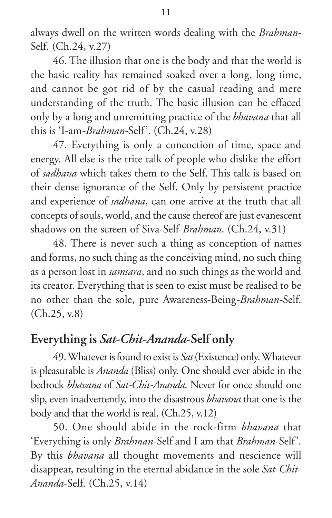always dwell on the written words dealing with the *Brahman-*Self. (Ch.24, v.27)

46. The illusion that one is the body and that the world is the basic reality has remained soaked over a long, long time, and cannot be got rid of by the casual reading and mere understanding of the truth. The basic illusion can be effaced only by a long and unremitting practice of the *bhavana* that all this is 'I-am*-Brahman-*Self'. (Ch.24, v.28)

47. Everything is only a concoction of time, space and energy. All else is the trite talk of people who dislike the effort of *sadhana* which takes them to the Self. This talk is based on their dense ignorance of the Self. Only by persistent practice and experience of *sadhana*, can one arrive at the truth that all concepts of souls, world, and the cause thereof are just evanescent shadows on the screen of Siva*-*Self*-Brahman*. (Ch.24, v.31)

48. There is never such a thing as conception of names and forms, no such thing as the conceiving mind, no such thing as a person lost in *samsara*, and no such things as the world and its creator. Everything that is seen to exist must be realised to be no other than the sole, pure Awareness-Being*-Brahman-*Self. (Ch.25, v.8)

# **Everything is** *Sat-Chit-Ananda***-Self only**

49. Whatever is found to exist is *Sat* (Existence) only. Whatever is pleasurable is *Ananda* (Bliss) only. One should ever abide in the bedrock *bhavana* of *Sat-Chit-Ananda*. Never for once should one slip, even inadvertently, into the disastrous *bhavana* that one is the body and that the world is real. (Ch.25, v.12)

50. One should abide in the rock-firm *bhavana* that 'Everything is only *Brahman-*Self and I am that *Brahman-*Self'. By this *bhavana* all thought movements and nescience will disappear, resulting in the eternal abidance in the sole *Sat-Chit-Ananda-*Self. (Ch.25, v.14)

11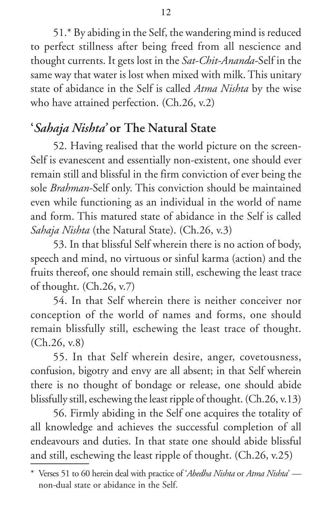51.\* By abiding in the Self, the wandering mind is reduced to perfect stillness after being freed from all nescience and thought currents. It gets lost in the *Sat-Chit-Ananda-*Self in the same way that water is lost when mixed with milk. This unitary state of abidance in the Self is called *Atma Nishta* by the wise who have attained perfection. (Ch.26, v.2)

# **'***Sahaja Nishta'* **or The Natural State**

52. Having realised that the world picture on the screen-Self is evanescent and essentially non-existent, one should ever remain still and blissful in the firm conviction of ever being the sole *Brahman-*Self only. This conviction should be maintained even while functioning as an individual in the world of name and form. This matured state of abidance in the Self is called *Sahaja Nishta* (the Natural State). (Ch.26, v.3)

53. In that blissful Self wherein there is no action of body, speech and mind, no virtuous or sinful karma (action) and the fruits thereof, one should remain still, eschewing the least trace of thought. (Ch.26, v.7)

54. In that Self wherein there is neither conceiver nor conception of the world of names and forms, one should remain blissfully still, eschewing the least trace of thought. (Ch.26, v.8)

55. In that Self wherein desire, anger, covetousness, confusion, bigotry and envy are all absent; in that Self wherein there is no thought of bondage or release, one should abide blissfully still, eschewing the least ripple of thought. (Ch.26, v.13)

56. Firmly abiding in the Self one acquires the totality of all knowledge and achieves the successful completion of all endeavours and duties. In that state one should abide blissful and still, eschewing the least ripple of thought. (Ch.26, v.25)

<sup>\*</sup> Verses 51 to 60 herein deal with practice of '*Abedha Nishta* or *Atma Nishta*' non-dual state or abidance in the Self.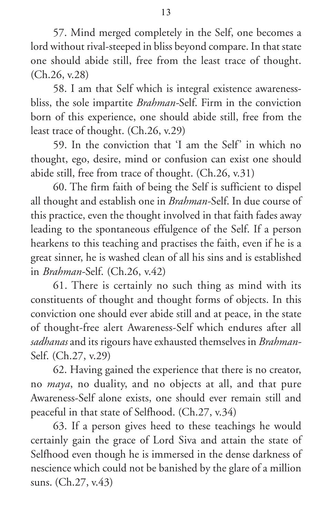57. Mind merged completely in the Self, one becomes a lord without rival-steeped in bliss beyond compare. In that state one should abide still, free from the least trace of thought. (Ch.26, v.28)

58. I am that Self which is integral existence awarenessbliss, the sole impartite *Brahman-*Self. Firm in the conviction born of this experience, one should abide still, free from the least trace of thought. (Ch.26, v.29)

59. In the conviction that 'I am the Self' in which no thought, ego, desire, mind or confusion can exist one should abide still, free from trace of thought. (Ch.26, v.31)

60. The firm faith of being the Self is sufficient to dispel all thought and establish one in *Brahman-*Self. In due course of this practice, even the thought involved in that faith fades away leading to the spontaneous effulgence of the Self. If a person hearkens to this teaching and practises the faith, even if he is a great sinner, he is washed clean of all his sins and is established in *Brahman-*Self. (Ch.26, v.42)

61. There is certainly no such thing as mind with its constituents of thought and thought forms of objects. In this conviction one should ever abide still and at peace, in the state of thought-free alert Awareness-Self which endures after all *sadhanas* and its rigours have exhausted themselves in *Brahman-*Self. (Ch.27, v.29)

62. Having gained the experience that there is no creator, no *maya*, no duality, and no objects at all, and that pure Awareness-Self alone exists, one should ever remain still and peaceful in that state of Selfhood. (Ch.27, v.34)

63. If a person gives heed to these teachings he would certainly gain the grace of Lord Siva and attain the state of Selfhood even though he is immersed in the dense darkness of nescience which could not be banished by the glare of a million suns. (Ch.27, v.43)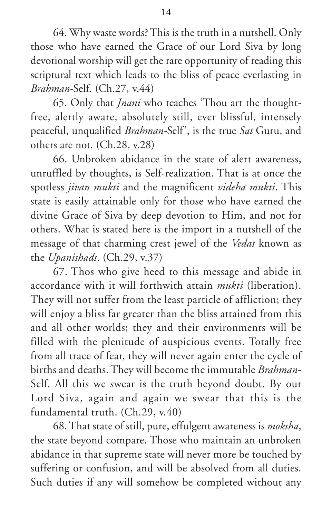64. Why waste words? This is the truth in a nutshell. Only those who have earned the Grace of our Lord Siva by long devotional worship will get the rare opportunity of reading this scriptural text which leads to the bliss of peace everlasting in *Brahman-*Self. (Ch.27, v.44)

65. Only that *Jnani* who teaches 'Thou art the thoughtfree, alertly aware, absolutely still, ever blissful, intensely peaceful, unqualified *Brahman-*Self', is the true *Sat* Guru, and others are not. (Ch.28, v.28)

66. Unbroken abidance in the state of alert awareness, unruffled by thoughts, is Self-realization. That is at once the spotless *jivan mukti* and the magnificent *videha mukti*. This state is easily attainable only for those who have earned the divine Grace of Siva by deep devotion to Him, and not for others. What is stated here is the import in a nutshell of the message of that charming crest jewel of the *Vedas* known as the *Upanishads*. (Ch.29, v.37)

67. Thos who give heed to this message and abide in accordance with it will forthwith attain *mukti* (liberation). They will not suffer from the least particle of affliction; they will enjoy a bliss far greater than the bliss attained from this and all other worlds; they and their environments will be filled with the plenitude of auspicious events. Totally free from all trace of fear, they will never again enter the cycle of births and deaths. They will become the immutable *Brahman-*Self. All this we swear is the truth beyond doubt. By our Lord Siva, again and again we swear that this is the fundamental truth. (Ch.29, v.40)

68. That state of still, pure, effulgent awareness is *moksha*, the state beyond compare. Those who maintain an unbroken abidance in that supreme state will never more be touched by suffering or confusion, and will be absolved from all duties. Such duties if any will somehow be completed without any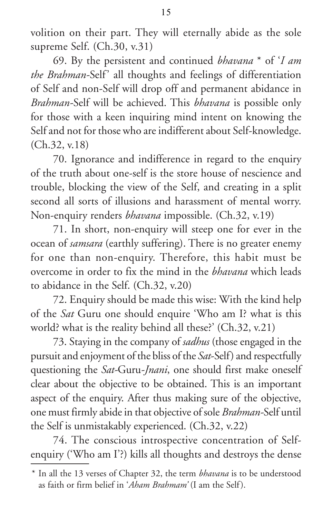volition on their part. They will eternally abide as the sole supreme Self. (Ch.30, v.31)

69. By the persistent and continued *bhavana* \* of '*I am the Brahman-*Self' all thoughts and feelings of differentiation of Self and non-Self will drop off and permanent abidance in *Brahman-*Self will be achieved. This *bhavana* is possible only for those with a keen inquiring mind intent on knowing the Self and not for those who are indifferent about Self-knowledge. (Ch.32, v.18)

70. Ignorance and indifference in regard to the enquiry of the truth about one-self is the store house of nescience and trouble, blocking the view of the Self, and creating in a split second all sorts of illusions and harassment of mental worry. Non-enquiry renders *bhavana* impossible. (Ch.32, v.19)

71. In short, non-enquiry will steep one for ever in the ocean of *samsara* (earthly suffering). There is no greater enemy for one than non-enquiry. Therefore, this habit must be overcome in order to fix the mind in the *bhavana* which leads to abidance in the Self. (Ch.32, v.20)

72. Enquiry should be made this wise: With the kind help of the *Sat* Guru one should enquire 'Who am I? what is this world? what is the reality behind all these?' (Ch.32, v.21)

73. Staying in the company of *sadhus* (those engaged in the pursuit and enjoyment of the bliss of the *Sat*-Self) and respectfully questioning the *Sat-*Guru*-Jnani*, one should first make oneself clear about the objective to be obtained. This is an important aspect of the enquiry. After thus making sure of the objective, one must firmly abide in that objective of sole *Brahman-*Self until the Self is unmistakably experienced. (Ch.32, v.22)

74. The conscious introspective concentration of Selfenquiry ('Who am I'?) kills all thoughts and destroys the dense

*<sup>\*</sup>* In all the 13 verses of Chapter 32, the term *bhavana* is to be understood as faith or firm belief in '*Aham Brahmam'* (I am the Self).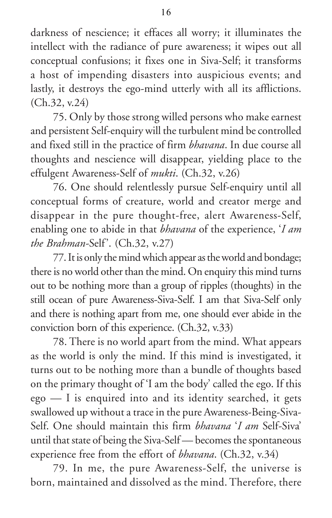darkness of nescience; it effaces all worry; it illuminates the intellect with the radiance of pure awareness; it wipes out all conceptual confusions; it fixes one in Siva-Self; it transforms a host of impending disasters into auspicious events; and lastly, it destroys the ego-mind utterly with all its afflictions. (Ch.32, v.24)

75. Only by those strong willed persons who make earnest and persistent Self-enquiry will the turbulent mind be controlled and fixed still in the practice of firm *bhavana*. In due course all thoughts and nescience will disappear, yielding place to the effulgent Awareness-Self of *mukti*. (Ch.32, v.26)

76. One should relentlessly pursue Self-enquiry until all conceptual forms of creature, world and creator merge and disappear in the pure thought-free, alert Awareness-Self, enabling one to abide in that *bhavana* of the experience, '*I am the Brahman-*Self'. (Ch.32, v.27)

77. It is only the mind which appear as the world and bondage; there is no world other than the mind. On enquiry this mind turns out to be nothing more than a group of ripples (thoughts) in the still ocean of pure Awareness-Siva-Self. I am that Siva-Self only and there is nothing apart from me, one should ever abide in the conviction born of this experience. (Ch.32, v.33)

78. There is no world apart from the mind. What appears as the world is only the mind. If this mind is investigated, it turns out to be nothing more than a bundle of thoughts based on the primary thought of 'I am the body' called the ego. If this ego — I is enquired into and its identity searched, it gets swallowed up without a trace in the pure Awareness-Being-Siva-Self. One should maintain this firm *bhavana* '*I am* Self*-*Siva' until that state of being the Siva*-*Self — becomes the spontaneous experience free from the effort of *bhavana*. (Ch.32, v.34)

79. In me, the pure Awareness-Self, the universe is born, maintained and dissolved as the mind. Therefore, there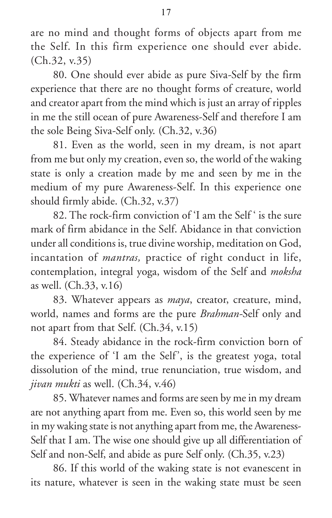are no mind and thought forms of objects apart from me the Self. In this firm experience one should ever abide. (Ch.32, v.35)

80. One should ever abide as pure Siva*-*Self by the firm experience that there are no thought forms of creature, world and creator apart from the mind which is just an array of ripples in me the still ocean of pure Awareness-Self and therefore I am the sole Being Siva*-*Self only. (Ch.32, v.36)

81. Even as the world, seen in my dream, is not apart from me but only my creation, even so, the world of the waking state is only a creation made by me and seen by me in the medium of my pure Awareness-Self. In this experience one should firmly abide. (Ch.32, v.37)

82. The rock-firm conviction of 'I am the Self ' is the sure mark of firm abidance in the Self. Abidance in that conviction under all conditions is, true divine worship, meditation on God, incantation of *mantras,* practice of right conduct in life, contemplation, integral yoga, wisdom of the Self and *moksha* as well. (Ch.33, v.16)

83. Whatever appears as *maya*, creator, creature, mind, world, names and forms are the pure *Brahman-*Self only and not apart from that Self. (Ch.34, v.15)

84. Steady abidance in the rock-firm conviction born of the experience of 'I am the Self', is the greatest yoga, total dissolution of the mind, true renunciation, true wisdom, and *jivan mukti* as well. (Ch.34, v.46)

85. Whatever names and forms are seen by me in my dream are not anything apart from me. Even so, this world seen by me in my waking state is not anything apart from me, the Awareness-Self that I am. The wise one should give up all differentiation of Self and non-Self, and abide as pure Self only. (Ch.35, v.23)

86. If this world of the waking state is not evanescent in its nature, whatever is seen in the waking state must be seen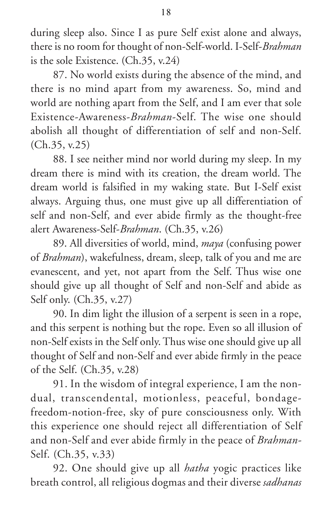during sleep also. Since I as pure Self exist alone and always, there is no room for thought of non-Self-world. I-Self-*Brahman* is the sole Existence. (Ch.35, v.24)

87. No world exists during the absence of the mind, and there is no mind apart from my awareness. So, mind and world are nothing apart from the Self, and I am ever that sole Existence-Awareness-*Brahman*-Self. The wise one should abolish all thought of differentiation of self and non-Self. (Ch.35, v.25)

88. I see neither mind nor world during my sleep. In my dream there is mind with its creation, the dream world. The dream world is falsified in my waking state. But I-Self exist always. Arguing thus, one must give up all differentiation of self and non-Self, and ever abide firmly as the thought-free alert Awareness-Self-*Brahman*. (Ch.35, v.26)

89. All diversities of world, mind, *maya* (confusing power of *Brahman*), wakefulness, dream, sleep, talk of you and me are evanescent, and yet, not apart from the Self. Thus wise one should give up all thought of Self and non-Self and abide as Self only. (Ch.35, v.27)

90. In dim light the illusion of a serpent is seen in a rope, and this serpent is nothing but the rope. Even so all illusion of non-Self exists in the Self only. Thus wise one should give up all thought of Self and non-Self and ever abide firmly in the peace of the Self. (Ch.35, v.28)

91. In the wisdom of integral experience, I am the nondual, transcendental, motionless, peaceful, bondagefreedom-notion-free, sky of pure consciousness only. With this experience one should reject all differentiation of Self and non-Self and ever abide firmly in the peace of *Brahman-*Self. (Ch.35, v.33)

92. One should give up all *hatha* yogic practices like breath control, all religious dogmas and their diverse *sadhanas*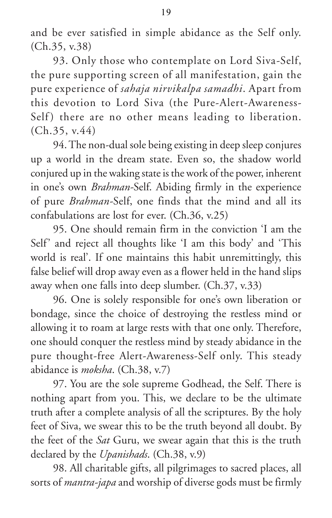and be ever satisfied in simple abidance as the Self only. (Ch.35, v.38)

93. Only those who contemplate on Lord Siva*-*Self, the pure supporting screen of all manifestation, gain the pure experience of *sahaja nirvikalpa samadhi*. Apart from this devotion to Lord Siva (the Pure-Alert-Awareness-Self) there are no other means leading to liberation. (Ch.35, v.44)

94. The non-dual sole being existing in deep sleep conjures up a world in the dream state. Even so, the shadow world conjured up in the waking state is the work of the power, inherent in one's own *Brahman-*Self. Abiding firmly in the experience of pure *Brahman-*Self, one finds that the mind and all its confabulations are lost for ever. (Ch.36, v.25)

95. One should remain firm in the conviction 'I am the Self' and reject all thoughts like 'I am this body' and 'This world is real'. If one maintains this habit unremittingly, this false belief will drop away even as a flower held in the hand slips away when one falls into deep slumber. (Ch.37, v.33)

96. One is solely responsible for one's own liberation or bondage, since the choice of destroying the restless mind or allowing it to roam at large rests with that one only. Therefore, one should conquer the restless mind by steady abidance in the pure thought-free Alert-Awareness-Self only. This steady abidance is *moksha*. (Ch.38, v.7)

97. You are the sole supreme Godhead, the Self. There is nothing apart from you. This, we declare to be the ultimate truth after a complete analysis of all the scriptures. By the holy feet of Siva, we swear this to be the truth beyond all doubt. By the feet of the *Sat* Guru, we swear again that this is the truth declared by the *Upanishads*. (Ch.38, v.9)

98. All charitable gifts, all pilgrimages to sacred places, all sorts of *mantra-japa* and worship of diverse gods must be firmly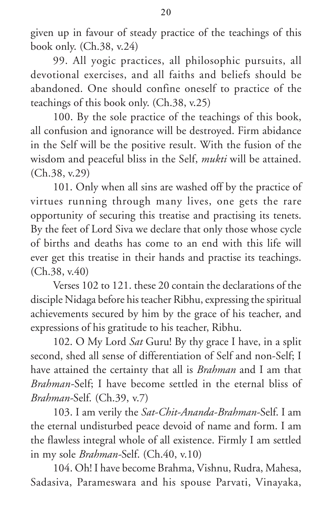given up in favour of steady practice of the teachings of this book only. (Ch.38, v.24)

99. All yogic practices, all philosophic pursuits, all devotional exercises, and all faiths and beliefs should be abandoned. One should confine oneself to practice of the teachings of this book only. (Ch.38, v.25)

100. By the sole practice of the teachings of this book, all confusion and ignorance will be destroyed. Firm abidance in the Self will be the positive result. With the fusion of the wisdom and peaceful bliss in the Self, *mukti* will be attained. (Ch.38, v.29)

101. Only when all sins are washed off by the practice of virtues running through many lives, one gets the rare opportunity of securing this treatise and practising its tenets. By the feet of Lord Siva we declare that only those whose cycle of births and deaths has come to an end with this life will ever get this treatise in their hands and practise its teachings. (Ch.38, v.40)

Verses 102 to 121. these 20 contain the declarations of the disciple Nidaga before his teacher Ribhu, expressing the spiritual achievements secured by him by the grace of his teacher, and expressions of his gratitude to his teacher, Ribhu.

102. O My Lord *Sat* Guru! By thy grace I have, in a split second, shed all sense of differentiation of Self and non-Self; I have attained the certainty that all is *Brahman* and I am that *Brahman-*Self; I have become settled in the eternal bliss of *Brahman-*Self. (Ch.39, v.7)

103. I am verily the *Sat-Chit-Ananda-Brahman-*Self. I am the eternal undisturbed peace devoid of name and form. I am the flawless integral whole of all existence. Firmly I am settled in my sole *Brahman-*Self. (Ch.40, v.10)

104. Oh! I have become Brahma, Vishnu, Rudra, Mahesa, Sadasiva, Parameswara and his spouse Parvati, Vinayaka,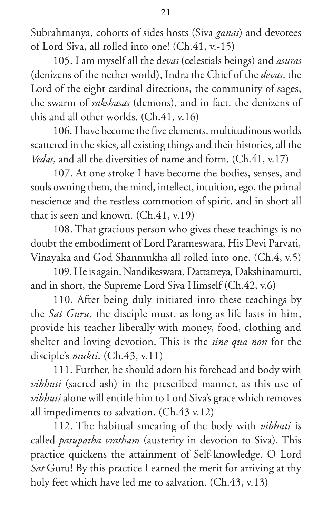Subrahmanya, cohorts of sides hosts (Siva *ganas*) and devotees of Lord Siva, all rolled into one! (Ch.41, v.-15)

105. I am myself all the d*evas* (celestials beings) and *asuras* (denizens of the nether world), Indra the Chief of the *devas*, the Lord of the eight cardinal directions, the community of sages, the swarm of *rakshasas* (demons), and in fact, the denizens of this and all other worlds. (Ch.41, v.16)

106. I have become the five elements, multitudinous worlds scattered in the skies, all existing things and their histories, all the *Vedas*, and all the diversities of name and form. (Ch.41, v.17)

107. At one stroke I have become the bodies, senses, and souls owning them, the mind, intellect, intuition, ego, the primal nescience and the restless commotion of spirit, and in short all that is seen and known.  $(Ch.41, v.19)$ 

108. That gracious person who gives these teachings is no doubt the embodiment of Lord Parameswara, His Devi Parvati*,* Vinayaka and God Shanmukha all rolled into one. (Ch.4, v.5)

109. He is again, Nandikeswara*,* Dattatreya*,* Dakshinamurti, and in short, the Supreme Lord Siva Himself (Ch.42, v.6)

110. After being duly initiated into these teachings by the *Sat Guru*, the disciple must, as long as life lasts in him, provide his teacher liberally with money, food, clothing and shelter and loving devotion. This is the *sine qua non* for the disciple's *mukti*. (Ch.43, v.11)

111. Further, he should adorn his forehead and body with *vibhuti* (sacred ash) in the prescribed manner, as this use of *vibhuti* alone will entitle him to Lord Siva's grace which removes all impediments to salvation. (Ch.43 v.12)

112. The habitual smearing of the body with *vibhuti* is called *pasupatha vratham* (austerity in devotion to Siva). This practice quickens the attainment of Self-knowledge. O Lord *Sat* Guru! By this practice I earned the merit for arriving at thy holy feet which have led me to salvation. (Ch.43, v.13)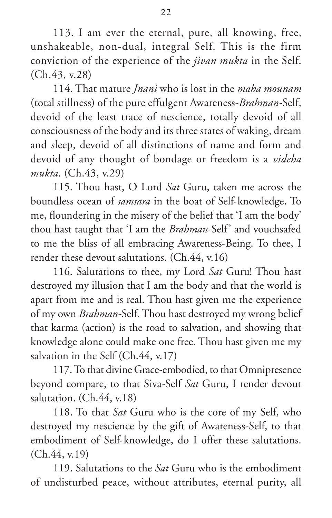113. I am ever the eternal, pure, all knowing, free, unshakeable, non-dual, integral Self. This is the firm conviction of the experience of the *jivan mukta* in the Self. (Ch.43, v.28)

114. That mature *Jnani* who is lost in the *maha mounam* (total stillness) of the pure effulgent Awareness-*Brahman-*Self, devoid of the least trace of nescience, totally devoid of all consciousness of the body and its three states of waking, dream and sleep, devoid of all distinctions of name and form and devoid of any thought of bondage or freedom is a *videha mukta*. (Ch.43, v.29)

115. Thou hast, O Lord *Sat* Guru, taken me across the boundless ocean of *samsara* in the boat of Self-knowledge. To me, floundering in the misery of the belief that 'I am the body' thou hast taught that 'I am the *Brahman-*Self' and vouchsafed to me the bliss of all embracing Awareness-Being. To thee, I render these devout salutations. (Ch.44, v.16)

116. Salutations to thee, my Lord *Sat* Guru! Thou hast destroyed my illusion that I am the body and that the world is apart from me and is real. Thou hast given me the experience of my own *Brahman-*Self. Thou hast destroyed my wrong belief that karma (action) is the road to salvation, and showing that knowledge alone could make one free. Thou hast given me my salvation in the Self (Ch.44, v.17)

117. To that divine Grace-embodied, to that Omnipresence beyond compare, to that Siva-Self *Sat* Guru, I render devout salutation. (Ch.44, v.18)

118. To that *Sat* Guru who is the core of my Self, who destroyed my nescience by the gift of Awareness-Self, to that embodiment of Self-knowledge, do I offer these salutations. (Ch.44, v.19)

119. Salutations to the *Sat* Guru who is the embodiment of undisturbed peace, without attributes, eternal purity, all